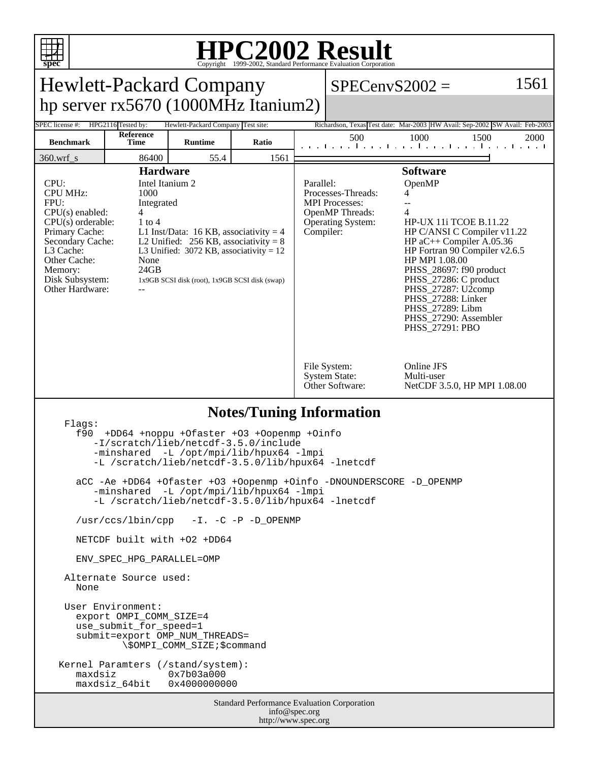

## **HPC2002 Result** Copyright 1999-2002, Standard Performance Evaluation Corporation

| spec<br>Copyright ©1999-2002, Standard Performance Evaluation Corporation                                                                                                                                                                                                                                                                                                                                                                                                                                                                                                                                                                                                                                                                                                                     |                          |                                    |       |  |                                                                                                                                                                                                                                                                                                                                                                                                                                                                       |                                                                                      |      |  |
|-----------------------------------------------------------------------------------------------------------------------------------------------------------------------------------------------------------------------------------------------------------------------------------------------------------------------------------------------------------------------------------------------------------------------------------------------------------------------------------------------------------------------------------------------------------------------------------------------------------------------------------------------------------------------------------------------------------------------------------------------------------------------------------------------|--------------------------|------------------------------------|-------|--|-----------------------------------------------------------------------------------------------------------------------------------------------------------------------------------------------------------------------------------------------------------------------------------------------------------------------------------------------------------------------------------------------------------------------------------------------------------------------|--------------------------------------------------------------------------------------|------|--|
| 1561<br><b>Hewlett-Packard Company</b><br>$SPECenvS2002 =$                                                                                                                                                                                                                                                                                                                                                                                                                                                                                                                                                                                                                                                                                                                                    |                          |                                    |       |  |                                                                                                                                                                                                                                                                                                                                                                                                                                                                       |                                                                                      |      |  |
| hp server $rx5670(1000MHz$ Itanium2)                                                                                                                                                                                                                                                                                                                                                                                                                                                                                                                                                                                                                                                                                                                                                          |                          |                                    |       |  |                                                                                                                                                                                                                                                                                                                                                                                                                                                                       |                                                                                      |      |  |
| SPEC license #:                                                                                                                                                                                                                                                                                                                                                                                                                                                                                                                                                                                                                                                                                                                                                                               | HPG2116 Tested by:       | Hewlett-Packard Company Test site: |       |  |                                                                                                                                                                                                                                                                                                                                                                                                                                                                       | Richardson, Texas Test date: Mar-2003 HW Avail: Sep-2002 SW Avail: Feb-2003          |      |  |
| <b>Benchmark</b>                                                                                                                                                                                                                                                                                                                                                                                                                                                                                                                                                                                                                                                                                                                                                                              | Reference<br><b>Time</b> | <b>Runtime</b>                     | Ratio |  | 500                                                                                                                                                                                                                                                                                                                                                                                                                                                                   | 1000<br>1500<br>and the model of the following the model of the following the second | 2000 |  |
| $360.wrf$ <sub>s</sub>                                                                                                                                                                                                                                                                                                                                                                                                                                                                                                                                                                                                                                                                                                                                                                        | 86400                    | 55.4                               | 1561  |  |                                                                                                                                                                                                                                                                                                                                                                                                                                                                       |                                                                                      |      |  |
| <b>Hardware</b><br>CPU:<br>Intel Itanium 2<br><b>CPU MHz:</b><br>1000<br>FPU:<br>Integrated<br>$CPU(s)$ enabled:<br>4<br>$CPU(s)$ orderable:<br>$1$ to $4$<br>Primary Cache:<br>L1 Inst/Data: 16 KB, associativity = 4<br>Secondary Cache:<br>L2 Unified: $256$ KB, associativity = 8<br>L3 Cache:<br>L3 Unified: $3072$ KB, associativity = 12<br>Other Cache:<br>None<br>24GB<br>Memory:<br>Disk Subsystem:<br>1x9GB SCSI disk (root), 1x9GB SCSI disk (swap)<br>Other Hardware:                                                                                                                                                                                                                                                                                                            |                          |                                    |       |  | <b>Software</b><br>OpenMP<br>Parallel:<br>Processes-Threads:<br>4<br><b>MPI</b> Processes:<br>4<br>OpenMP Threads:<br>Operating System:<br><b>HP-UX 11i TCOE B.11.22</b><br>HP C/ANSI C Compiler v11.22<br>Compiler:<br>HP $aC++$ Compiler A.05.36<br>HP Fortran 90 Compiler v2.6.5<br>HP MPI 1.08.00<br>PHSS_28697: f90 product<br>PHSS_27286: C product<br>PHSS_27287: U2comp<br>PHSS_27288: Linker<br>PHSS_27289: Libm<br>PHSS_27290: Assembler<br>PHSS_27291: PBO |                                                                                      |      |  |
|                                                                                                                                                                                                                                                                                                                                                                                                                                                                                                                                                                                                                                                                                                                                                                                               |                          |                                    |       |  | File System:<br><b>System State:</b><br>Other Software:                                                                                                                                                                                                                                                                                                                                                                                                               | Online JFS<br>Multi-user<br>NetCDF 3.5.0, HP MPI 1.08.00                             |      |  |
| <b>Notes/Tuning Information</b><br>Flags:<br>f90<br>+DD64 +noppu +Ofaster +03 +Oopenmp +Oinfo<br>-I/scratch/lieb/netcdf-3.5.0/include<br>-minshared -L /opt/mpi/lib/hpux64 -lmpi<br>-L /scratch/lieb/netcdf-3.5.0/lib/hpux64 -lnetcdf<br>aCC -Ae +DD64 +Ofaster +O3 +Oopenmp +Oinfo -DNOUNDERSCORE -D_OPENMP<br>-minshared -L /opt/mpi/lib/hpux64 -lmpi<br>-L /scratch/lieb/netcdf-3.5.0/lib/hpux64 -lnetcdf<br>/usr/ccs/lbin/cpp -I. -C -P -D_OPENMP<br>NETCDF built with +02 +DD64<br>ENV SPEC HPG PARALLEL=OMP<br>Alternate Source used:<br>None<br>User Environment:<br>export OMPI COMM SIZE=4<br>use_submit_for_speed=1<br>submit=export OMP_NUM_THREADS=<br>\\$OMPI_COMM_SIZE;\$command<br>Kernel Paramters (/stand/system):<br>maxdsiz<br>0x7b03a000<br>0x4000000000<br>maxdsiz_64bit |                          |                                    |       |  |                                                                                                                                                                                                                                                                                                                                                                                                                                                                       |                                                                                      |      |  |
| Standard Performance Evaluation Corporation<br>info@spec.org<br>http://www.spec.org                                                                                                                                                                                                                                                                                                                                                                                                                                                                                                                                                                                                                                                                                                           |                          |                                    |       |  |                                                                                                                                                                                                                                                                                                                                                                                                                                                                       |                                                                                      |      |  |